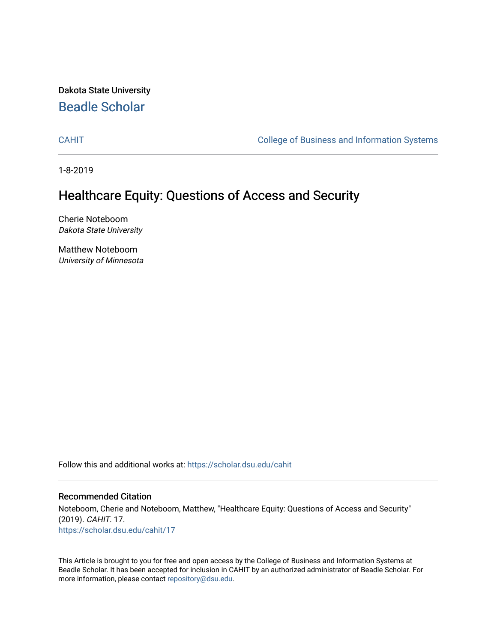Dakota State University [Beadle Scholar](https://scholar.dsu.edu/)

[CAHIT](https://scholar.dsu.edu/cahit) [College of Business and Information Systems](https://scholar.dsu.edu/biscollege) 

1-8-2019

# Healthcare Equity: Questions of Access and Security

Cherie Noteboom Dakota State University

Matthew Noteboom University of Minnesota

Follow this and additional works at: [https://scholar.dsu.edu/cahit](https://scholar.dsu.edu/cahit?utm_source=scholar.dsu.edu%2Fcahit%2F17&utm_medium=PDF&utm_campaign=PDFCoverPages) 

### Recommended Citation

Noteboom, Cherie and Noteboom, Matthew, "Healthcare Equity: Questions of Access and Security" (2019). CAHIT. 17. [https://scholar.dsu.edu/cahit/17](https://scholar.dsu.edu/cahit/17?utm_source=scholar.dsu.edu%2Fcahit%2F17&utm_medium=PDF&utm_campaign=PDFCoverPages) 

This Article is brought to you for free and open access by the College of Business and Information Systems at Beadle Scholar. It has been accepted for inclusion in CAHIT by an authorized administrator of Beadle Scholar. For more information, please contact [repository@dsu.edu.](mailto:repository@dsu.edu)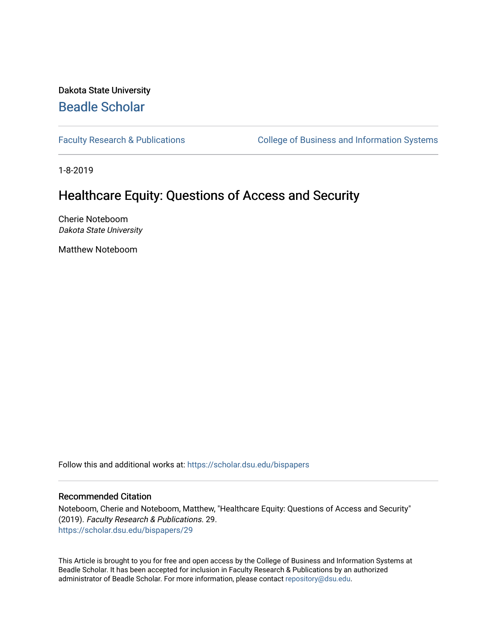Dakota State University [Beadle Scholar](https://scholar.dsu.edu/)

[Faculty Research & Publications](https://scholar.dsu.edu/bispapers) **College of Business and Information Systems** 

1-8-2019

# Healthcare Equity: Questions of Access and Security

Cherie Noteboom Dakota State University

Matthew Noteboom

Follow this and additional works at: [https://scholar.dsu.edu/bispapers](https://scholar.dsu.edu/bispapers?utm_source=scholar.dsu.edu%2Fbispapers%2F29&utm_medium=PDF&utm_campaign=PDFCoverPages)

### Recommended Citation

Noteboom, Cherie and Noteboom, Matthew, "Healthcare Equity: Questions of Access and Security" (2019). Faculty Research & Publications. 29. [https://scholar.dsu.edu/bispapers/29](https://scholar.dsu.edu/bispapers/29?utm_source=scholar.dsu.edu%2Fbispapers%2F29&utm_medium=PDF&utm_campaign=PDFCoverPages) 

This Article is brought to you for free and open access by the College of Business and Information Systems at Beadle Scholar. It has been accepted for inclusion in Faculty Research & Publications by an authorized administrator of Beadle Scholar. For more information, please contact [repository@dsu.edu.](mailto:repository@dsu.edu)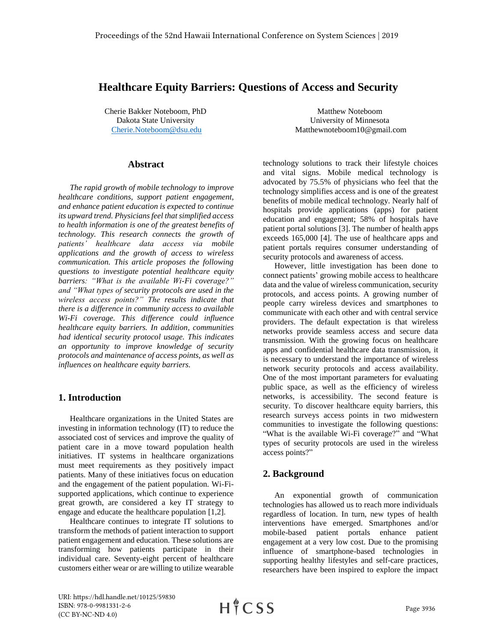## **Healthcare Equity Barriers: Questions of Access and Security**

Cherie Bakker Noteboom, PhD Dakota State University Cherie.Noteboom@dsu.edu

#### **Abstract**

*The rapid growth of mobile technology to improve healthcare conditions, support patient engagement, and enhance patient education is expected to continue its upward trend. Physicians feel that simplified access to health information is one of the greatest benefits of technology. This research connects the growth of patients' healthcare data access via mobile applications and the growth of access to wireless communication. This article proposes the following questions to investigate potential healthcare equity barriers: "What is the available Wi-Fi coverage?" and "What types of security protocols are used in the wireless access points?" The results indicate that there is a difference in community access to available Wi-Fi coverage. This difference could influence healthcare equity barriers. In addition, communities had identical security protocol usage. This indicates an opportunity to improve knowledge of security protocols and maintenance of access points, as well as influences on healthcare equity barriers.*

### **1. Introduction**

Healthcare organizations in the United States are investing in information technology (IT) to reduce the associated cost of services and improve the quality of patient care in a move toward population health initiatives. IT systems in healthcare organizations must meet requirements as they positively impact patients. Many of these initiatives focus on education and the engagement of the patient population. Wi-Fisupported applications, which continue to experience great growth, are considered a key IT strategy to engage and educate the healthcare population [1,2].

Healthcare continues to integrate IT solutions to transform the methods of patient interaction to support patient engagement and education. These solutions are transforming how patients participate in their individual care. Seventy-eight percent of healthcare customers either wear or are willing to utilize wearable

Matthew Noteboom University of Minnesota Matthewnoteboom10@gmail.com

technology solutions to track their lifestyle choices and vital signs. Mobile medical technology is advocated by 75.5% of physicians who feel that the technology simplifies access and is one of the greatest benefits of mobile medical technology. Nearly half of hospitals provide applications (apps) for patient education and engagement; 58% of hospitals have patient portal solutions [3]. The number of health apps exceeds 165,000 [4]. The use of healthcare apps and patient portals requires consumer understanding of security protocols and awareness of access.

However, little investigation has been done to connect patients' growing mobile access to healthcare data and the value of wireless communication, security protocols, and access points. A growing number of people carry wireless devices and smartphones to communicate with each other and with central service providers. The default expectation is that wireless networks provide seamless access and secure data transmission. With the growing focus on healthcare apps and confidential healthcare data transmission, it is necessary to understand the importance of wireless network security protocols and access availability. One of the most important parameters for evaluating public space, as well as the efficiency of wireless networks, is accessibility. The second feature is security. To discover healthcare equity barriers, this research surveys access points in two midwestern communities to investigate the following questions: "What is the available Wi-Fi coverage?" and "What types of security protocols are used in the wireless access points?"

### **2. Background**

An exponential growth of communication technologies has allowed us to reach more individuals regardless of location. In turn, new types of health interventions have emerged. Smartphones and/or mobile-based patient portals enhance patient engagement at a very low cost. Due to the promising influence of smartphone-based technologies in supporting healthy lifestyles and self-care practices, researchers have been inspired to explore the impact

URI: https://hdl.handle.net/10125/59830 ISBN: 978-0-9981331-2-6 (CC BY-NC-ND 4.0)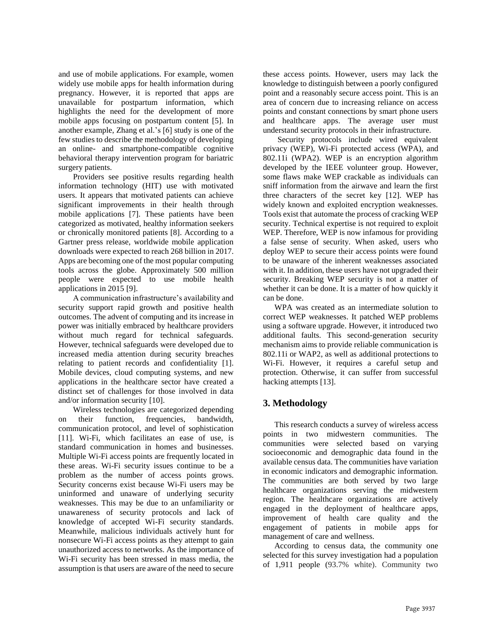and use of mobile applications. For example, women widely use mobile apps for health information during pregnancy. However, it is reported that apps are unavailable for postpartum information, which highlights the need for the development of more mobile apps focusing on postpartum content [5]. In another example, Zhang et al.'s [6] study is one of the few studies to describe the methodology of developing an online- and smartphone-compatible cognitive behavioral therapy intervention program for bariatric surgery patients.

Providers see positive results regarding health information technology (HIT) use with motivated users. It appears that motivated patients can achieve significant improvements in their health through mobile applications [7]. These patients have been categorized as motivated, healthy information seekers or chronically monitored patients [8]. According to a Gartner press release, worldwide mobile application downloads were expected to reach 268 billion in 2017. Apps are becoming one of the most popular computing tools across the globe. Approximately 500 million people were expected to use mobile health applications in 2015 [9].

A communication infrastructure's availability and security support rapid growth and positive health outcomes. The advent of computing and its increase in power was initially embraced by healthcare providers without much regard for technical safeguards. However, technical safeguards were developed due to increased media attention during security breaches relating to patient records and confidentiality [1]. Mobile devices, cloud computing systems, and new applications in the healthcare sector have created a distinct set of challenges for those involved in data and/or information security [10].

Wireless technologies are categorized depending on their function, frequencies, bandwidth, communication protocol, and level of sophistication [11]. Wi-Fi, which facilitates an ease of use, is standard communication in homes and businesses. Multiple Wi-Fi access points are frequently located in these areas. Wi-Fi security issues continue to be a problem as the number of access points grows. Security concerns exist because Wi-Fi users may be uninformed and unaware of underlying security weaknesses. This may be due to an unfamiliarity or unawareness of security protocols and lack of knowledge of accepted Wi-Fi security standards. Meanwhile, malicious individuals actively hunt for nonsecure Wi-Fi access points as they attempt to gain unauthorized access to networks. As the importance of Wi-Fi security has been stressed in mass media, the assumption is that users are aware of the need to secure

these access points. However, users may lack the knowledge to distinguish between a poorly configured point and a reasonably secure access point. This is an area of concern due to increasing reliance on access points and constant connections by smart phone users and healthcare apps. The average user must understand security protocols in their infrastructure.

Security protocols include wired equivalent privacy (WEP), Wi-Fi protected access (WPA), and 802.11i (WPA2). WEP is an encryption algorithm developed by the IEEE volunteer group. However, some flaws make WEP crackable as individuals can sniff information from the airwave and learn the first three characters of the secret key [12]. WEP has widely known and exploited encryption weaknesses. Tools exist that automate the process of cracking WEP security. Technical expertise is not required to exploit WEP. Therefore, WEP is now infamous for providing a false sense of security. When asked, users who deploy WEP to secure their access points were found to be unaware of the inherent weaknesses associated with it. In addition, these users have not upgraded their security. Breaking WEP security is not a matter of whether it can be done. It is a matter of how quickly it can be done.

WPA was created as an intermediate solution to correct WEP weaknesses. It patched WEP problems using a software upgrade. However, it introduced two additional faults. This second-generation security mechanism aims to provide reliable communication is 802.11i or WAP2, as well as additional protections to Wi-Fi. However, it requires a careful setup and protection. Otherwise, it can suffer from successful hacking attempts [13].

## **3. Methodology**

This research conducts a survey of wireless access points in two midwestern communities. The communities were selected based on varying socioeconomic and demographic data found in the available census data. The communities have variation in economic indicators and demographic information. The communities are both served by two large healthcare organizations serving the midwestern region. The healthcare organizations are actively engaged in the deployment of healthcare apps, improvement of health care quality and the engagement of patients in mobile apps for management of care and wellness.

According to census data, the community one selected for this survey investigation had a population of 1,911 people (93.7% white). Community two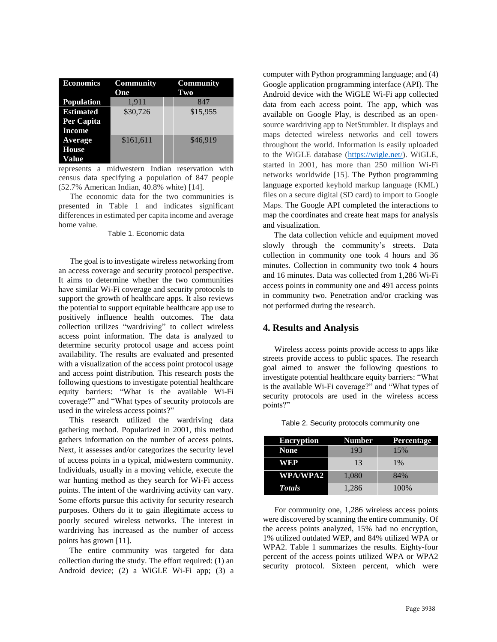| <b>Economics</b>  | <b>Community</b><br>One | <b>Community</b><br>Two |
|-------------------|-------------------------|-------------------------|
| <b>Population</b> | 1,911                   | 847                     |
| <b>Estimated</b>  | \$30,726                | \$15,955                |
| Per Capita        |                         |                         |
| <b>Income</b>     |                         |                         |
| Average           | \$161,611               | \$46.919                |
| <b>House</b>      |                         |                         |
| Value             |                         |                         |

represents a midwestern Indian reservation with census data specifying a population of 847 people (52.7% American Indian, 40.8% white) [14].

The economic data for the two communities is presented in Table 1 and indicates significant differences in estimated per capita income and average home value.

Table 1. Economic data

The goal is to investigate wireless networking from an access coverage and security protocol perspective. It aims to determine whether the two communities have similar Wi-Fi coverage and security protocols to support the growth of healthcare apps. It also reviews the potential to support equitable healthcare app use to positively influence health outcomes. The data collection utilizes "wardriving" to collect wireless access point information. The data is analyzed to determine security protocol usage and access point availability. The results are evaluated and presented with a visualization of the access point protocol usage and access point distribution. This research posts the following questions to investigate potential healthcare equity barriers: "What is the available Wi-Fi coverage?" and "What types of security protocols are used in the wireless access points?"

This research utilized the wardriving data gathering method. Popularized in 2001, this method gathers information on the number of access points. Next, it assesses and/or categorizes the security level of access points in a typical, midwestern community. Individuals, usually in a moving vehicle, execute the war hunting method as they search for Wi-Fi access points. The intent of the wardriving activity can vary. Some efforts pursue this activity for security research purposes. Others do it to gain illegitimate access to poorly secured wireless networks. The interest in wardriving has increased as the number of access points has grown [11].

The entire community was targeted for data collection during the study. The effort required: (1) an Android device; (2) a WiGLE Wi-Fi app; (3) a

computer with Python programming language; and (4) Google application programming interface (API). The Android device with the WiGLE Wi-Fi app collected data from each access point. The app, which was available on Google Play, is described as an opensource wardriving app to NetStumbler. It displays and maps detected wireless networks and cell towers throughout the world. Information is easily uploaded to the WiGLE database [\(https://wigle.net/\)](https://wigle.net/). WiGLE, started in 2001, has more than 250 million Wi-Fi networks worldwide [15]. The Python programming language exported keyhold markup language (KML) files on a secure digital (SD card) to import to Google Maps. The Google API completed the interactions to map the coordinates and create heat maps for analysis and visualization.

The data collection vehicle and equipment moved slowly through the community's streets. Data collection in community one took 4 hours and 36 minutes. Collection in community two took 4 hours and 16 minutes. Data was collected from 1,286 Wi-Fi access points in community one and 491 access points in community two. Penetration and/or cracking was not performed during the research.

#### **4. Results and Analysis**

Wireless access points provide access to apps like streets provide access to public spaces. The research goal aimed to answer the following questions to investigate potential healthcare equity barriers: "What is the available Wi-Fi coverage?" and "What types of security protocols are used in the wireless access points?"

| <b>Encryption</b> | <b>Number</b> | <b>Percentage</b> |
|-------------------|---------------|-------------------|
| <b>None</b>       | 193           | 15%               |
| WEP               | 13            | $1\%$             |
| <b>WPA/WPA2</b>   | 1,080         | 84%               |
| <b>Totals</b>     | 1,286         | 100\%             |

Table 2. Security protocols community one

For community one, 1,286 wireless access points were discovered by scanning the entire community. Of the access points analyzed, 15% had no encryption, 1% utilized outdated WEP, and 84% utilized WPA or WPA2. Table 1 summarizes the results. Eighty-four percent of the access points utilized WPA or WPA2 security protocol. Sixteen percent, which were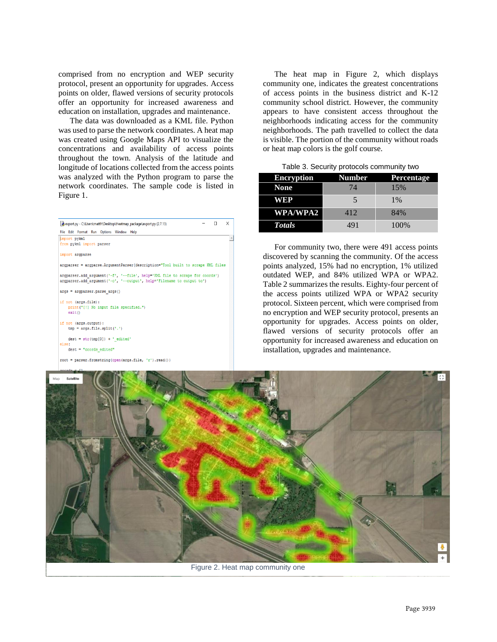comprised from no encryption and WEP security protocol, present an opportunity for upgrades. Access points on older, flawed versions of security protocols offer an opportunity for increased awareness and education on installation, upgrades and maintenance.

The data was downloaded as a KML file. Python was used to parse the network coordinates. A heat map was created using Google Maps API to visualize the concentrations and availability of access points throughout the town. Analysis of the latitude and longitude of locations collected from the access points was analyzed with the Python program to parse the network coordinates. The sample code is listed in Figure 1.

 $\Box$ export.py - C:\Users\matth\Desktop\Heatmap\_package\export.py (2.7.13) File Edit Format Run Options Window Help import pykml from pykml import parser import argparse argparser = argparse.ArgumentParser(description="Tool built to scrape KML files argparser.add\_argument('-f', '--file', help='RML file to scrape for coords')<br>argparser.add\_argument('-o', '--output', help='Filename to output to')  $args = argparser.parse args()$ if not (args.file): print("[!] No input file specified.")  $exit()$ if not (args.output):  $tmp = args.file.split('.'')$  $dest = str(tmp[0]) + ' edited'$  $dest = "coordinates_edited"$ root = parser.fromstring(open(args.file, 'r').read())

The heat map in Figure 2, which displays community one, indicates the greatest concentrations of access points in the business district and K-12 community school district. However, the community appears to have consistent access throughout the neighborhoods indicating access for the community neighborhoods. The path travelled to collect the data is visible. The portion of the community without roads or heat map colors is the golf course.

|  |  |  | Table 3. Security protocols community two |  |
|--|--|--|-------------------------------------------|--|
|--|--|--|-------------------------------------------|--|

| <b>Encryption</b> | <b>Number</b> | <b>Percentage</b> |
|-------------------|---------------|-------------------|
| <b>None</b>       | 74            | 15%               |
| WEP               |               | $1\%$             |
| <b>WPA/WPA2</b>   | 412           | 84%               |
| <b>Totals</b>     | 491           | 100%              |

For community two, there were 491 access points discovered by scanning the community. Of the access points analyzed, 15% had no encryption, 1% utilized outdated WEP, and 84% utilized WPA or WPA2. Table 2 summarizes the results. Eighty-four percent of the access points utilized WPA or WPA2 security protocol. Sixteen percent, which were comprised from no encryption and WEP security protocol, presents an opportunity for upgrades. Access points on older, flawed versions of security protocols offer an opportunity for increased awareness and education on installation, upgrades and maintenance.



Figure 2. Heat map community one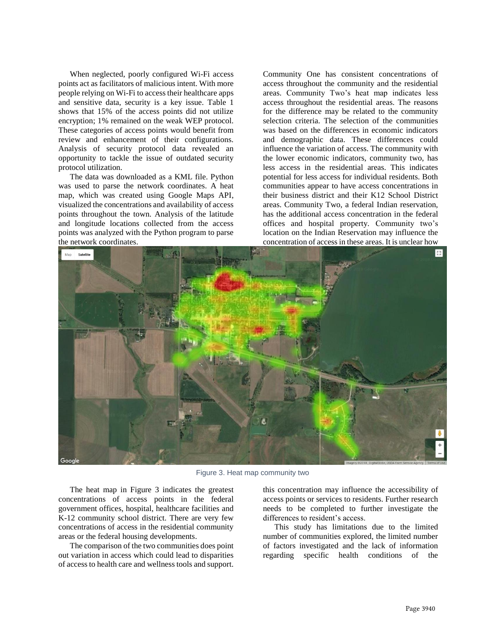When neglected, poorly configured Wi-Fi access points act as facilitators of malicious intent. With more people relying on Wi-Fi to access their healthcare apps and sensitive data, security is a key issue. Table 1 shows that 15% of the access points did not utilize encryption; 1% remained on the weak WEP protocol. These categories of access points would benefit from review and enhancement of their configurations. Analysis of security protocol data revealed an opportunity to tackle the issue of outdated security protocol utilization.

The data was downloaded as a KML file. Python was used to parse the network coordinates. A heat map, which was created using Google Maps API, visualized the concentrations and availability of access points throughout the town. Analysis of the latitude and longitude locations collected from the access points was analyzed with the Python program to parse the network coordinates.

Community One has consistent concentrations of access throughout the community and the residential areas. Community Two's heat map indicates less access throughout the residential areas. The reasons for the difference may be related to the community selection criteria. The selection of the communities was based on the differences in economic indicators and demographic data. These differences could influence the variation of access. The community with the lower economic indicators, community two, has less access in the residential areas. This indicates potential for less access for individual residents. Both communities appear to have access concentrations in their business district and their K12 School District areas. Community Two, a federal Indian reservation, has the additional access concentration in the federal offices and hospital property. Community two's location on the Indian Reservation may influence the concentration of access in these areas. It is unclear how



Figure 3. Heat map community two

The heat map in Figure 3 indicates the greatest concentrations of access points in the federal government offices, hospital, healthcare facilities and K-12 community school district. There are very few concentrations of access in the residential community areas or the federal housing developments.

The comparison of the two communities does point out variation in access which could lead to disparities of access to health care and wellness tools and support. this concentration may influence the accessibility of access points or services to residents. Further research needs to be completed to further investigate the differences to resident's access.

This study has limitations due to the limited number of communities explored, the limited number of factors investigated and the lack of information regarding specific health conditions of the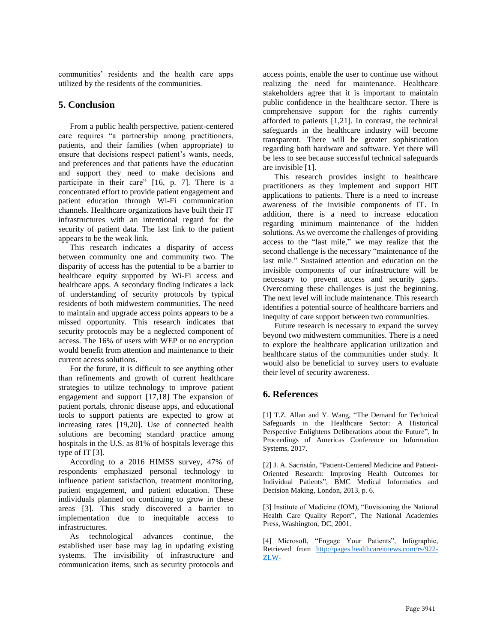communities' residents and the health care apps utilized by the residents of the communities.

### **5. Conclusion**

From a public health perspective, patient-centered care requires "a partnership among practitioners, patients, and their families (when appropriate) to ensure that decisions respect patient's wants, needs, and preferences and that patients have the education and support they need to make decisions and participate in their care" [16, p. 7]. There is a concentrated effort to provide patient engagement and patient education through Wi-Fi communication channels. Healthcare organizations have built their IT infrastructures with an intentional regard for the security of patient data. The last link to the patient appears to be the weak link.

This research indicates a disparity of access between community one and community two. The disparity of access has the potential to be a barrier to healthcare equity supported by Wi-Fi access and healthcare apps. A secondary finding indicates a lack of understanding of security protocols by typical residents of both midwestern communities. The need to maintain and upgrade access points appears to be a missed opportunity. This research indicates that security protocols may be a neglected component of access. The 16% of users with WEP or no encryption would benefit from attention and maintenance to their current access solutions.

For the future, it is difficult to see anything other than refinements and growth of current healthcare strategies to utilize technology to improve patient engagement and support [17,18] The expansion of patient portals, chronic disease apps, and educational tools to support patients are expected to grow at increasing rates [19,20]. Use of connected health solutions are becoming standard practice among hospitals in the U.S. as 81% of hospitals leverage this type of IT [3].

According to a 2016 HIMSS survey, 47% of respondents emphasized personal technology to influence patient satisfaction, treatment monitoring, patient engagement, and patient education. These individuals planned on continuing to grow in these areas [3]. This study discovered a barrier to implementation due to inequitable access to infrastructures.

As technological advances continue, the established user base may lag in updating existing systems. The invisibility of infrastructure and communication items, such as security protocols and access points, enable the user to continue use without realizing the need for maintenance. Healthcare stakeholders agree that it is important to maintain public confidence in the healthcare sector. There is comprehensive support for the rights currently afforded to patients [1,21]. In contrast, the technical safeguards in the healthcare industry will become transparent. There will be greater sophistication regarding both hardware and software. Yet there will be less to see because successful technical safeguards are invisible [1].

This research provides insight to healthcare practitioners as they implement and support HIT applications to patients. There is a need to increase awareness of the invisible components of IT. In addition, there is a need to increase education regarding minimum maintenance of the hidden solutions. As we overcome the challenges of providing access to the "last mile," we may realize that the second challenge is the necessary "maintenance of the last mile." Sustained attention and education on the invisible components of our infrastructure will be necessary to prevent access and security gaps. Overcoming these challenges is just the beginning. The next level will include maintenance. This research identifies a potential source of healthcare barriers and inequity of care support between two communities.

Future research is necessary to expand the survey beyond two midwestern communities. There is a need to explore the healthcare application utilization and healthcare status of the communities under study. It would also be beneficial to survey users to evaluate their level of security awareness.

## **6. References**

[1] T.Z. Allan and Y. Wang, "The Demand for Technical Safeguards in the Healthcare Sector: A Historical Perspective Enlightens Deliberations about the Future", In Proceedings of Americas Conference on Information Systems, 2017.

[2] J. A. Sacristán, "Patient-Centered Medicine and Patient-Oriented Research: Improving Health Outcomes for Individual Patients", BMC Medical Informatics and Decision Making, London, 2013, p. 6.

[3] Institute of Medicine (IOM), "Envisioning the National Health Care Quality Report", The National Academies Press, Washington, DC, 2001.

[4] Microsoft, "Engage Your Patients", Infographic, Retrieved from [http://pages.healthcareitnews.com/rs/922-](http://pages.healthcareitnews.com/rs/922-ZLW-292/images/Engage%20your%20patient%20infographic.pdf?aliId=678046187) [ZLW-](http://pages.healthcareitnews.com/rs/922-ZLW-292/images/Engage%20your%20patient%20infographic.pdf?aliId=678046187)